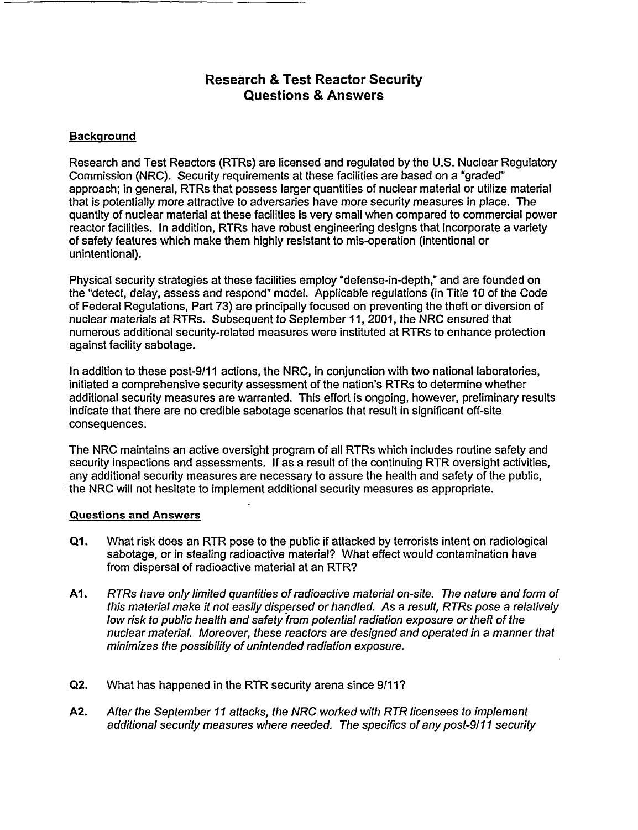## **Research & Test Reactor Security Questions & Answers**

## **Background**

Research and Test Reactors (RTRs) are licensed and regulated by the U.S. Nuclear Regulatory Commission (NRC). Security requirements at these facilities are based on a "graded" approach; in general, RTRs that possess larger quantities of nuclear material or utilize material that is potentially more attractive to adversaries have more security measures in place. The quantity of nuclear material at these facilities is very small when compared to commercial power reactor facilities. In addition, RTRs have robust engineering designs that incorporate a variety of safety features which make them highly resistant to mis-operation (intentional or unintentional).

Physical security strategies at these facilities employ 'defense-in-depth," and are founded on the "detect, delay, assess and respond" model. Applicable regulations (in Title 10 of the Code of Federal Regulations, Part 73) are principally focused on preventing the theft or diversion of nuclear materials at RTRs. Subsequent to September 11, 2001, the NRC ensured that numerous additional security-related measures were instituted at RTRs to enhance protection against facility sabotage.

In addition to these post-9/11 actions, the NRC, in conjunction with two national laboratories, initiated a comprehensive security assessment of the nation's RTRs to determine whether additional security measures are warranted. This effort is ongoing, however, preliminary results indicate that there are no credible sabotage scenarios that result in significant off-site consequences.

The NRC maintains an active oversight program of all RTRs which includes routine safety and security inspections and assessments. If as a result of the continuing RTR oversight activities, any additional security measures are necessary to assure the health and safety of the public, the NRC will not hesitate to implement additional security measures as appropriate.

## **Questions and Answers**

- **Ql.** What risk does an RTR pose to the public if attacked by terrorists intent on radiological sabotage, or in stealing radioactive material? What effect would contamination have from dispersal of radioactive material at an RTR?
- **Al.** RTRs have only limited quantities of radioactive material on-site. The nature and form of this material make it not easily dispersed or handled. As a result, RTRs pose a relatively low risk to public health and safety from potential radiation exposure or theft of the nuclear material. Moreover, these reactors are designed and operated in a manner that minimizes the possibility of unintended radiation exposure.
- Q2. What has happened in the RTR security arena since 9/11?
- A2. After the September 11 attacks, the NRC worked with RTR licensees to implement additional security measures where needed. The specifics of any post-9/11 security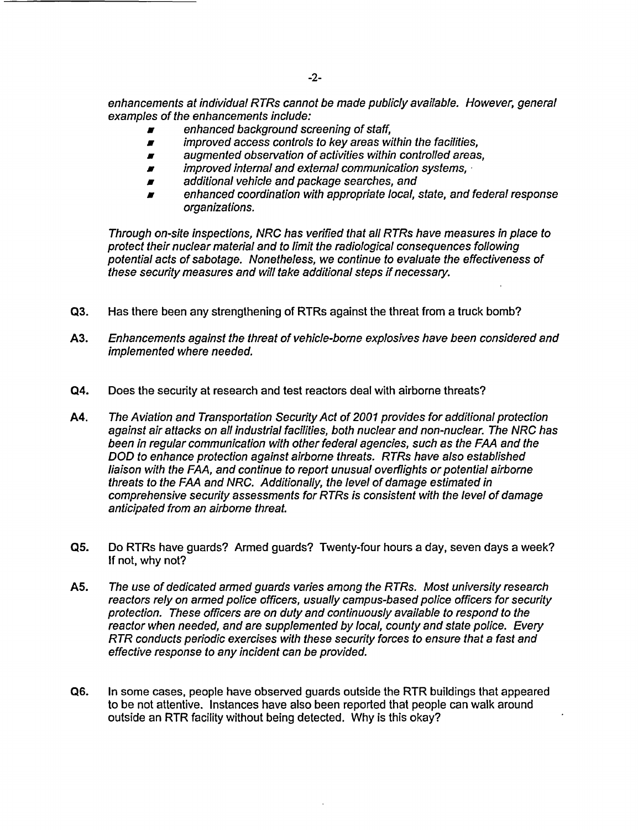enhancements at individual RTRs cannot be made publicly available. However, general examples of the enhancements include:

- *x* enhanced background screening of staff,
- *Ar improved access controls to key areas within the facilities,*
- *Ar* augmented observation of *activities* within controlled areas,
- **Archarge internal and external communication systems,**
- **Archarge 3** additional vehicle and package searches, and
- *Ar* enhanced coordination with appropriate local, state, and federal response organizations.

Through on-site inspections, NRC has verified that all RTRs have measures in place to protect their nuclear material and to limit the radiological consequences following potential acts of sabotage. Nonetheless, we continue to evaluate the effectiveness of these security measures and will take additional steps if necessary.

- Q3. Has there been any strengthening of RTRs against the threat from a truck bomb?
- A3. Enhancements against the threat of vehicle-borne explosives have been considered and implemented where needed.
- Q4. Does the security at research and test reactors deal with airborne threats?
- A4. The Aviation and Transportation Security Act of 2001 provides for additional protection against air attacks on *all* industrial facilities, both nuclear and non-nuclear. The NRC has been in regular communication with other federal agencies, such as the FAA and the DOD to enhance protection against airborne threats. RTRs have also established liaison with the FAA, and continue to report unusual overflights or potential airborne threats to the FAA and NRC. Additionally, the level of damage estimated in comprehensive security assessments for RTRs is consistent with the level of damage anticipated from an airborne threat.
- Q5. Do RTRs have guards? Armed guards? Twenty-four hours a day, seven days a week? If not, why not?
- A5. The use of dedicated armed guards varies among the RTRs. Most university research reactors rely on armed police officers, usually campus-based police officers for security protection. These officers are on duty and continuously available to respond to the reactor when needed, and are supplemented by local, county and state police. Every RTR conducts periodic exercises with these security forces to ensure that a fast and effective response to any incident can be provided.
- Q6. In some cases, people have observed guards outside the RTR buildings that appeared to be not attentive. Instances have also been reported that people can walk around outside an RTR facility without being detected. Why is this okay?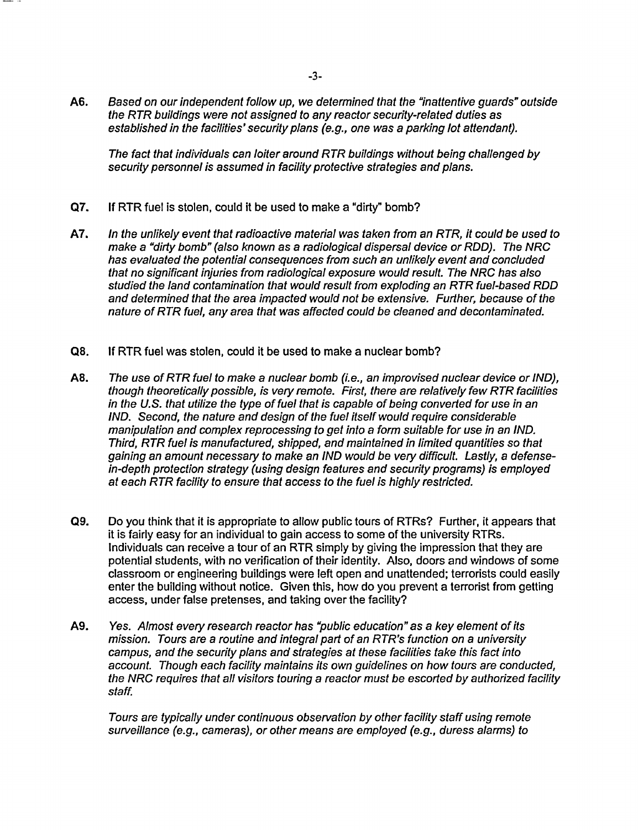**A6.** Based on our independent follow up, we determined that the "inattentive guards" outside the RTR buildings were not assigned to any reactor security-related duties as established in the facilities' security plans (e.g., one was a parking lot attendant).

The fact that individuals can loiter around RTR buildings without being challenged by security personnel is assumed in facility protective strategies and plans.

- Q7. If RTR fuel is stolen, could it be used to make a "dirty" bomb?
- A7. In the unlikely event that radioactive material was taken from an RTR, it could be used to make a "dirty bomb" (also known as a radiological dispersal device or RDD). The NRC has evaluated the potential consequences from such an unlikely event and concluded that no significant injuries from radiological exposure would result. The NRC has also studied the land contamination that would result from exploding an RTR fuel-based RDD and determined that the area impacted would not be extensive. Further, because of the nature of RTR fuel, any area that was affected could be cleaned and decontaminated.
- **Q8.** If RTR fuel was stolen, could it be used to make a nuclear bomb?
- A8. The use of RTR fuel to make a nuclear bomb (i.e., an improvised nuclear device or IND), though theoretically possible, is very remote. First, there are relatively few RTR facilities in the U.S. that utilize the type of fuel that is capable of being converted for use in an IND. Second, the nature and design of the fuel itself would require considerable manipulation and complex reprocessing to get into a form suitable for use in an IND. Third, RTR fuel is manufactured, shipped, and maintained in limited quantities so that gaining an amount necessary to make an IND would be very difficult. Lastly, a defensein-depth protection strategy (using design features and security programs) is employed at each RTR facility to ensure that access to the fuel is highly restricted.
- Q9. Do you think that it is appropriate to allow public tours of RTRs? Further, it appears that it is fairly easy for an individual to gain access to some of the university RTRs. Individuals can receive a tour of an RTR simply by giving the impression that they are potential students, with no verification of their identity. Also, doors and windows of some classroom or engineering buildings were left open and unattended; terrorists could easily enter the building without notice. Given this, how do you prevent a terrorist from getting access, under false pretenses, and taking over the facility?
- **A9.** Yes. Almost every research reactor has "public education" as a key element of its mission. Tours are a routine and integral part of an RTR's function on a university campus, and the security plans and strategies at these facilities take this fact into account. Though each facility maintains its own guidelines on how tours are conducted, the NRC requires that all visitors touring a reactor must be escorted by authorized facility staff.

Tours are typically under continuous observation by other facility staff using remote surveillance (e.g., cameras), or other means are employed (e.g., duress alarms) to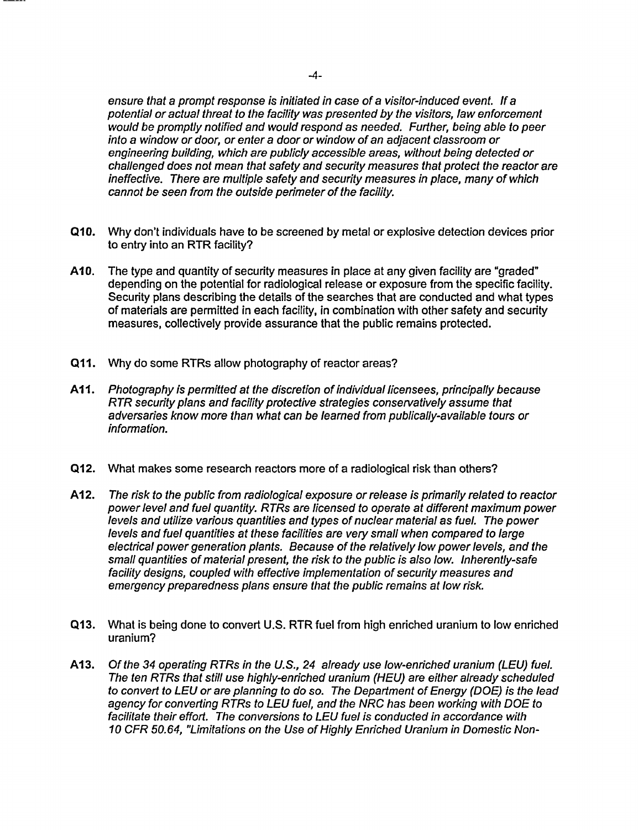ensure that a prompt response is initiated in case of a visitor-induced event. If a potential or actual threat to the facility was presented by the visitors, law enforcement would be promptly notified and would respond as needed. Further, being able to peer into a window or door, or enter a door or window of an adjacent classroom or engineering building, which are publicly accessible areas, without being detected or challenged does not mean that safety and security measures that protect the reactor are ineffective. There are multiple safety and security measures in place, many of which cannot be seen from the outside perimeter of the facility.

- **QI0.** Why don't individuals have to be screened by metal or explosive detection devices prior to entry into an RTR facility?
- A10. The type and quantity of security measures in place at any given facility are "graded" depending on the potential for radiological release or exposure from the specific facility. Security plans describing the details of the searches that are conducted and what types of materials are permitted in each facility, in combination with other safety and security measures, collectively provide assurance that the public remains protected.
- Q **1I.** Why do some RTRs allow photography of reactor areas?
- **All1.** Photography is permitted at the discretion of individual licensees, principally because RTR security plans and facility protective strategies conservatively assume that adversaries know more than what can be learned from publically-available tours or information.
- Q12. What makes some research reactors more of a radiological risk than others?
- **Al** 2. The risk to the public from radiological exposure or release is primarily related to reactor power level and fuel quantity. RTRs are licensed to operate at different maximum power levels and utilize various quantities and types of nuclear material as fuel. The power levels and fuel quantities at these facilities are very small when compared to large electrical power generation plants. Because of the relatively low power levels, and the small quantities of material present, the risk to the public is also low. Inherently-safe facility designs, coupled with effective implementation of security measures and emergency preparedness plans ensure that the public remains at low risk.
- Q13. What is being done to convert U.S. RTR fuel from high enriched uranium to low enriched uranium?
- A13. Of the 34 operating RTRs in the U.S., 24 already use low-enriched uranium (LEU) fuel. The ten RTRs that still use highly-enriched uranium (HEU) are either already scheduled to convert to LEU or are planning to do so. The Department of Energy (DOE) is the lead agency for converting RTRs to LEU fuel, and the NRC has been working with DOE to facilitate their effort. The conversions to LEU fuel is conducted in accordance with 10 CFR 50.64, "Limitations on the Use of Highly Enriched Uranium in Domestic Non-